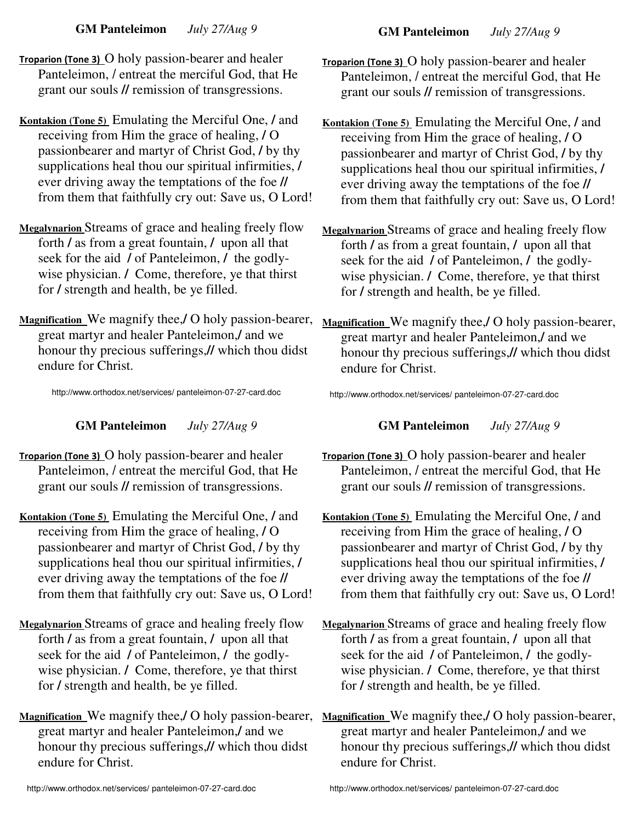**GM Panteleimon** *July 27/Aug 9* 

**GM Panteleimon** *July 27/Aug 9* 

- **Troparion (Tone 3)** O holy passion-bearer and healer Panteleimon, **/** entreat the merciful God, that He grant our souls **//** remission of transgressions.
- **Kontakion (Tone 5)** Emulating the Merciful One, **/** and receiving from Him the grace of healing, **/** O passionbearer and martyr of Christ God, **/** by thy supplications heal thou our spiritual infirmities, **/** ever driving away the temptations of the foe **//** from them that faithfully cry out: Save us, O Lord!
- **Megalynarion** Streams of grace and healing freely flow forth **/** as from a great fountain, **/** upon all that seek for the aid **/** of Panteleimon, **/** the godlywise physician. **/** Come, therefore, ye that thirst for **/** strength and health, be ye filled.
- **Magnification** We magnify thee,**/** O holy passion-bearer, great martyr and healer Panteleimon,**/** and we honour thy precious sufferings,**//** which thou didst endure for Christ.

http:**//**www.orthodox.net**/**services**/** panteleimon-07-27-card.doc

**GM Panteleimon** *July 27/Aug 9* 

- **Troparion (Tone 3)** O holy passion-bearer and healer Panteleimon, **/** entreat the merciful God, that He grant our souls **//** remission of transgressions.
- **Kontakion (Tone 5)** Emulating the Merciful One, **/** and receiving from Him the grace of healing, **/** O passionbearer and martyr of Christ God, **/** by thy supplications heal thou our spiritual infirmities, **/** ever driving away the temptations of the foe **//** from them that faithfully cry out: Save us, O Lord!
- **Megalynarion** Streams of grace and healing freely flow forth **/** as from a great fountain, **/** upon all that seek for the aid **/** of Panteleimon, **/** the godlywise physician. **/** Come, therefore, ye that thirst for **/** strength and health, be ye filled.
- **Magnification** We magnify thee,**/** O holy passion-bearer, great martyr and healer Panteleimon,**/** and we honour thy precious sufferings,**//** which thou didst endure for Christ.
- **Kontakion (Tone 5)** Emulating the Merciful One, **/** and receiving from Him the grace of healing, **/** O passionbearer and martyr of Christ God, **/** by thy supplications heal thou our spiritual infirmities, **/** ever driving away the temptations of the foe **//** from them that faithfully cry out: Save us, O Lord!
- **Megalynarion** Streams of grace and healing freely flow forth **/** as from a great fountain, **/** upon all that seek for the aid **/** of Panteleimon, **/** the godlywise physician. **/** Come, therefore, ye that thirst for **/** strength and health, be ye filled.
- **Magnification** We magnify thee,**/** O holy passion-bearer, great martyr and healer Panteleimon,**/** and we honour thy precious sufferings,**//** which thou didst endure for Christ.

http:**//**www.orthodox.net**/**services**/** panteleimon-07-27-card.doc

**GM Panteleimon** *July 27/Aug 9* 

- **Troparion (Tone 3)** O holy passion-bearer and healer Panteleimon, **/** entreat the merciful God, that He grant our souls **//** remission of transgressions.
- **Kontakion (Tone 5)** Emulating the Merciful One, **/** and receiving from Him the grace of healing, **/** O passionbearer and martyr of Christ God, **/** by thy supplications heal thou our spiritual infirmities, **/** ever driving away the temptations of the foe **//** from them that faithfully cry out: Save us, O Lord!
- **Megalynarion** Streams of grace and healing freely flow forth **/** as from a great fountain, **/** upon all that seek for the aid **/** of Panteleimon, **/** the godlywise physician. **/** Come, therefore, ye that thirst for **/** strength and health, be ye filled.
- **Magnification** We magnify thee,**/** O holy passion-bearer, great martyr and healer Panteleimon,**/** and we honour thy precious sufferings,**//** which thou didst endure for Christ.